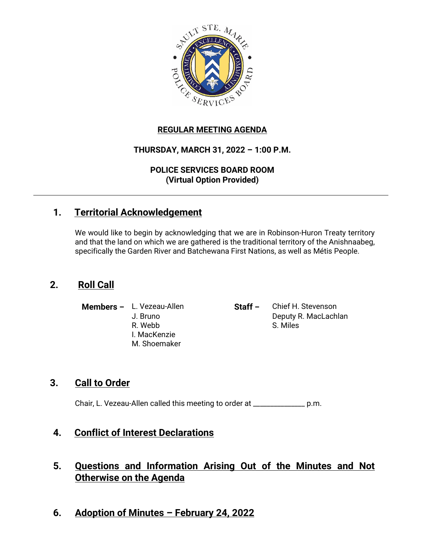

#### **REGULAR MEETING AGENDA**

#### **THURSDAY, MARCH 31, 2022 – 1:00 P.M.**

**POLICE SERVICES BOARD ROOM (Virtual Option Provided)**

## **1. Territorial Acknowledgement**

We would like to begin by acknowledging that we are in Robinson-Huron Treaty territory and that the land on which we are gathered is the traditional territory of the Anishnaabeg, specifically the Garden River and Batchewana First Nations, as well as Métis People.

## **2. Roll Call**

- I. MacKenzie M. Shoemaker
- **Members –** L. Vezeau-Allen **Staff –** Chief H. Stevenson J. Bruno Deputy R. MacLachlan R. Webb S. Miles

## **3. Call to Order**

Chair, L. Vezeau-Allen called this meeting to order at \_\_\_\_\_\_\_\_\_\_\_\_\_\_\_ p.m.

## **4. Conflict of Interest Declarations**

# **5. Questions and Information Arising Out of the Minutes and Not Otherwise on the Agenda**

**6. Adoption of Minutes – February 24, 2022**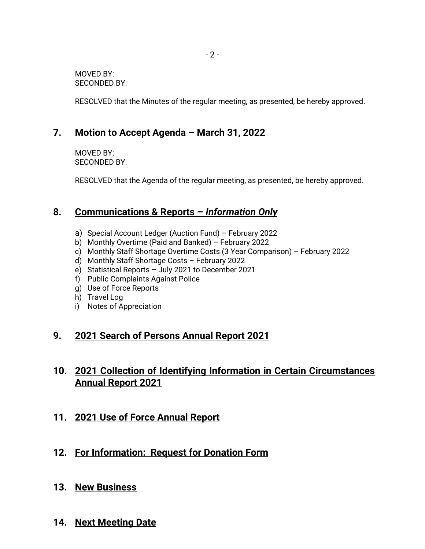MOVED BY: SECONDED BY:

RESOLVED that the Minutes of the regular meeting, as presented, be hereby approved.

# **7. Motion to Accept Agenda – March 31, 2022**

MOVED BY: SECONDED BY:

RESOLVED that the Agenda of the regular meeting, as presented, be hereby approved.

# **8. Communications & Reports –** *Information Only*

- a) Special Account Ledger (Auction Fund) February 2022
- b) Monthly Overtime (Paid and Banked) February 2022
- c) Monthly Staff Shortage Overtime Costs (3 Year Comparison) February 2022
- d) Monthly Staff Shortage Costs February 2022
- e) Statistical Reports July 2021 to December 2021
- f) Public Complaints Against Police
- g) Use of Force Reports
- h) Travel Log
- i) Notes of Appreciation

## **9. 2021 Search of Persons Annual Report 2021**

# **10. 2021 Collection of Identifying Information in Certain Circumstances Annual Report 2021**

- **11. 2021 Use of Force Annual Report**
- **12. For Information: Request for Donation Form**
- **13. New Business**
- **14. Next Meeting Date**